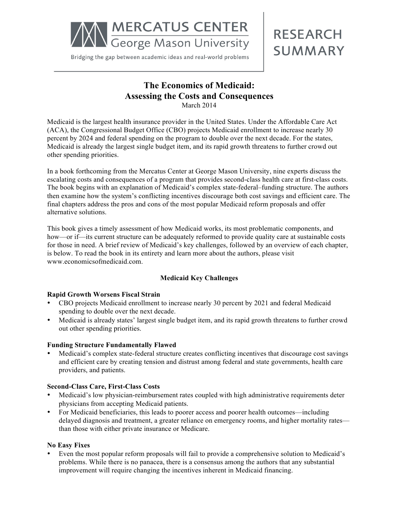

Bridging the gap between academic ideas and real-world problems

# **RESEARCH SUMMARY**

# **The Economics of Medicaid: Assessing the Costs and Consequences** March 2014

Medicaid is the largest health insurance provider in the United States. Under the Affordable Care Act (ACA), the Congressional Budget Office (CBO) projects Medicaid enrollment to increase nearly 30 percent by 2024 and federal spending on the program to double over the next decade. For the states, Medicaid is already the largest single budget item, and its rapid growth threatens to further crowd out other spending priorities.

In a book forthcoming from the Mercatus Center at George Mason University, nine experts discuss the escalating costs and consequences of a program that provides second-class health care at first-class costs. The book begins with an explanation of Medicaid's complex state-federal–funding structure. The authors then examine how the system's conflicting incentives discourage both cost savings and efficient care. The final chapters address the pros and cons of the most popular Medicaid reform proposals and offer alternative solutions.

This book gives a timely assessment of how Medicaid works, its most problematic components, and how—or if—its current structure can be adequately reformed to provide quality care at sustainable costs for those in need. A brief review of Medicaid's key challenges, followed by an overview of each chapter, is below. To read the book in its entirety and learn more about the authors, please visit www.economicsofmedicaid.com.

# **Medicaid Key Challenges**

#### **Rapid Growth Worsens Fiscal Strain**

- CBO projects Medicaid enrollment to increase nearly 30 percent by 2021 and federal Medicaid spending to double over the next decade.
- Medicaid is already states' largest single budget item, and its rapid growth threatens to further crowd out other spending priorities.

#### **Funding Structure Fundamentally Flawed**

• Medicaid's complex state-federal structure creates conflicting incentives that discourage cost savings and efficient care by creating tension and distrust among federal and state governments, health care providers, and patients.

# **Second-Class Care, First-Class Costs**

- Medicaid's low physician-reimbursement rates coupled with high administrative requirements deter physicians from accepting Medicaid patients.
- For Medicaid beneficiaries, this leads to poorer access and poorer health outcomes—including delayed diagnosis and treatment, a greater reliance on emergency rooms, and higher mortality rates than those with either private insurance or Medicare.

#### **No Easy Fixes**

Even the most popular reform proposals will fail to provide a comprehensive solution to Medicaid's problems. While there is no panacea, there is a consensus among the authors that any substantial improvement will require changing the incentives inherent in Medicaid financing.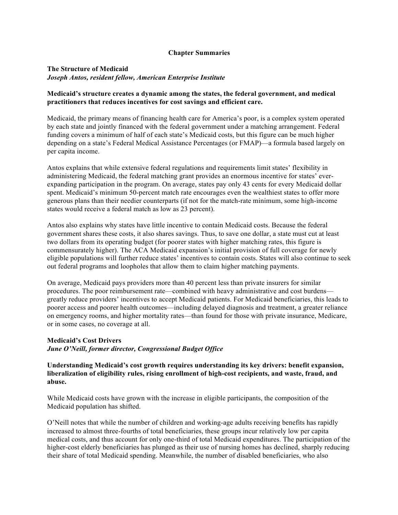#### **Chapter Summaries**

#### **The Structure of Medicaid**  *Joseph Antos, resident fellow, American Enterprise Institute*

#### **Medicaid's structure creates a dynamic among the states, the federal government, and medical practitioners that reduces incentives for cost savings and efficient care.**

Medicaid, the primary means of financing health care for America's poor, is a complex system operated by each state and jointly financed with the federal government under a matching arrangement. Federal funding covers a minimum of half of each state's Medicaid costs, but this figure can be much higher depending on a state's Federal Medical Assistance Percentages (or FMAP)—a formula based largely on per capita income.

Antos explains that while extensive federal regulations and requirements limit states' flexibility in administering Medicaid, the federal matching grant provides an enormous incentive for states' everexpanding participation in the program. On average, states pay only 43 cents for every Medicaid dollar spent. Medicaid's minimum 50-percent match rate encourages even the wealthiest states to offer more generous plans than their needier counterparts (if not for the match-rate minimum, some high-income states would receive a federal match as low as 23 percent).

Antos also explains why states have little incentive to contain Medicaid costs. Because the federal government shares these costs, it also shares savings. Thus, to save one dollar, a state must cut at least two dollars from its operating budget (for poorer states with higher matching rates, this figure is commensurately higher). The ACA Medicaid expansion's initial provision of full coverage for newly eligible populations will further reduce states' incentives to contain costs. States will also continue to seek out federal programs and loopholes that allow them to claim higher matching payments.

On average, Medicaid pays providers more than 40 percent less than private insurers for similar procedures. The poor reimbursement rate—combined with heavy administrative and cost burdens greatly reduce providers' incentives to accept Medicaid patients. For Medicaid beneficiaries, this leads to poorer access and poorer health outcomes—including delayed diagnosis and treatment, a greater reliance on emergency rooms, and higher mortality rates—than found for those with private insurance, Medicare, or in some cases, no coverage at all.

#### **Medicaid's Cost Drivers**

*June O'Neill, former director, Congressional Budget Office*

**Understanding Medicaid's cost growth requires understanding its key drivers: benefit expansion, liberalization of eligibility rules, rising enrollment of high-cost recipients, and waste, fraud, and abuse.** 

While Medicaid costs have grown with the increase in eligible participants, the composition of the Medicaid population has shifted.

O'Neill notes that while the number of children and working-age adults receiving benefits has rapidly increased to almost three-fourths of total beneficiaries, these groups incur relatively low per capita medical costs, and thus account for only one-third of total Medicaid expenditures. The participation of the higher-cost elderly beneficiaries has plunged as their use of nursing homes has declined, sharply reducing their share of total Medicaid spending. Meanwhile, the number of disabled beneficiaries, who also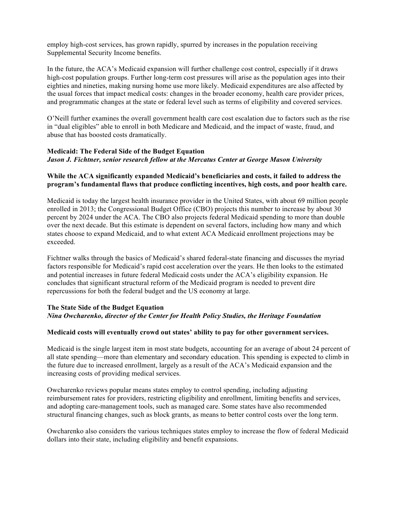employ high-cost services, has grown rapidly, spurred by increases in the population receiving Supplemental Security Income benefits.

In the future, the ACA's Medicaid expansion will further challenge cost control, especially if it draws high-cost population groups. Further long-term cost pressures will arise as the population ages into their eighties and nineties, making nursing home use more likely. Medicaid expenditures are also affected by the usual forces that impact medical costs: changes in the broader economy, health care provider prices, and programmatic changes at the state or federal level such as terms of eligibility and covered services.

O'Neill further examines the overall government health care cost escalation due to factors such as the rise in "dual eligibles" able to enroll in both Medicare and Medicaid, and the impact of waste, fraud, and abuse that has boosted costs dramatically.

### **Medicaid: The Federal Side of the Budget Equation**  *Jason J. Fichtner, senior research fellow at the Mercatus Center at George Mason University*

#### **While the ACA significantly expanded Medicaid's beneficiaries and costs, it failed to address the program's fundamental flaws that produce conflicting incentives, high costs, and poor health care.**

Medicaid is today the largest health insurance provider in the United States, with about 69 million people enrolled in 2013; the Congressional Budget Office (CBO) projects this number to increase by about 30 percent by 2024 under the ACA. The CBO also projects federal Medicaid spending to more than double over the next decade. But this estimate is dependent on several factors, including how many and which states choose to expand Medicaid, and to what extent ACA Medicaid enrollment projections may be exceeded.

Fichtner walks through the basics of Medicaid's shared federal-state financing and discusses the myriad factors responsible for Medicaid's rapid cost acceleration over the years. He then looks to the estimated and potential increases in future federal Medicaid costs under the ACA's eligibility expansion. He concludes that significant structural reform of the Medicaid program is needed to prevent dire repercussions for both the federal budget and the US economy at large.

#### **The State Side of the Budget Equation**  *Nina Owcharenko, director of the Center for Health Policy Studies, the Heritage Foundation*

#### **Medicaid costs will eventually crowd out states' ability to pay for other government services.**

Medicaid is the single largest item in most state budgets, accounting for an average of about 24 percent of all state spending—more than elementary and secondary education. This spending is expected to climb in the future due to increased enrollment, largely as a result of the ACA's Medicaid expansion and the increasing costs of providing medical services.

Owcharenko reviews popular means states employ to control spending, including adjusting reimbursement rates for providers, restricting eligibility and enrollment, limiting benefits and services, and adopting care-management tools, such as managed care. Some states have also recommended structural financing changes, such as block grants, as means to better control costs over the long term.

Owcharenko also considers the various techniques states employ to increase the flow of federal Medicaid dollars into their state, including eligibility and benefit expansions.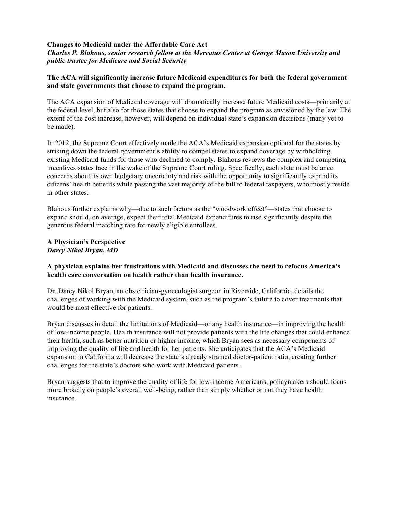#### **Changes to Medicaid under the Affordable Care Act**  *Charles P. Blahous, senior research fellow at the Mercatus Center at George Mason University and public trustee for Medicare and Social Security*

#### **The ACA will significantly increase future Medicaid expenditures for both the federal government and state governments that choose to expand the program.**

The ACA expansion of Medicaid coverage will dramatically increase future Medicaid costs—primarily at the federal level, but also for those states that choose to expand the program as envisioned by the law. The extent of the cost increase, however, will depend on individual state's expansion decisions (many yet to be made).

In 2012, the Supreme Court effectively made the ACA's Medicaid expansion optional for the states by striking down the federal government's ability to compel states to expand coverage by withholding existing Medicaid funds for those who declined to comply. Blahous reviews the complex and competing incentives states face in the wake of the Supreme Court ruling. Specifically, each state must balance concerns about its own budgetary uncertainty and risk with the opportunity to significantly expand its citizens' health benefits while passing the vast majority of the bill to federal taxpayers, who mostly reside in other states.

Blahous further explains why—due to such factors as the "woodwork effect"—states that choose to expand should, on average, expect their total Medicaid expenditures to rise significantly despite the generous federal matching rate for newly eligible enrollees.

#### **A Physician's Perspective**  *Darcy Nikol Bryan, MD*

#### **A physician explains her frustrations with Medicaid and discusses the need to refocus America's health care conversation on health rather than health insurance.**

Dr. Darcy Nikol Bryan, an obstetrician-gynecologist surgeon in Riverside, California, details the challenges of working with the Medicaid system, such as the program's failure to cover treatments that would be most effective for patients.

Bryan discusses in detail the limitations of Medicaid—or any health insurance—in improving the health of low-income people. Health insurance will not provide patients with the life changes that could enhance their health, such as better nutrition or higher income, which Bryan sees as necessary components of improving the quality of life and health for her patients. She anticipates that the ACA's Medicaid expansion in California will decrease the state's already strained doctor-patient ratio, creating further challenges for the state's doctors who work with Medicaid patients.

Bryan suggests that to improve the quality of life for low-income Americans, policymakers should focus more broadly on people's overall well-being, rather than simply whether or not they have health insurance.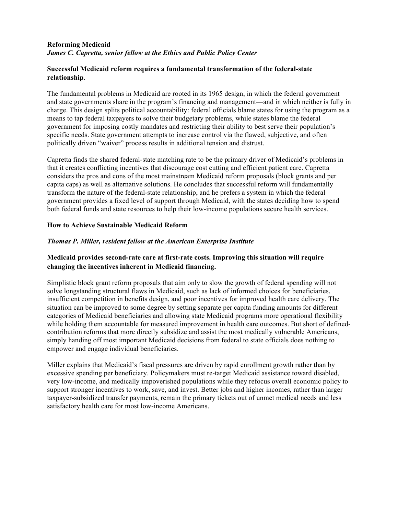#### **Reforming Medicaid**  *James C. Capretta, senior fellow at the Ethics and Public Policy Center*

#### **Successful Medicaid reform requires a fundamental transformation of the federal-state relationship**.

The fundamental problems in Medicaid are rooted in its 1965 design, in which the federal government and state governments share in the program's financing and management—and in which neither is fully in charge. This design splits political accountability: federal officials blame states for using the program as a means to tap federal taxpayers to solve their budgetary problems, while states blame the federal government for imposing costly mandates and restricting their ability to best serve their population's specific needs. State government attempts to increase control via the flawed, subjective, and often politically driven "waiver" process results in additional tension and distrust.

Capretta finds the shared federal-state matching rate to be the primary driver of Medicaid's problems in that it creates conflicting incentives that discourage cost cutting and efficient patient care. Capretta considers the pros and cons of the most mainstream Medicaid reform proposals (block grants and per capita caps) as well as alternative solutions. He concludes that successful reform will fundamentally transform the nature of the federal-state relationship, and he prefers a system in which the federal government provides a fixed level of support through Medicaid, with the states deciding how to spend both federal funds and state resources to help their low-income populations secure health services.

#### **How to Achieve Sustainable Medicaid Reform**

#### *Thomas P. Miller, resident fellow at the American Enterprise Institute*

# **Medicaid provides second-rate care at first-rate costs. Improving this situation will require changing the incentives inherent in Medicaid financing.**

Simplistic block grant reform proposals that aim only to slow the growth of federal spending will not solve longstanding structural flaws in Medicaid, such as lack of informed choices for beneficiaries, insufficient competition in benefits design, and poor incentives for improved health care delivery. The situation can be improved to some degree by setting separate per capita funding amounts for different categories of Medicaid beneficiaries and allowing state Medicaid programs more operational flexibility while holding them accountable for measured improvement in health care outcomes. But short of definedcontribution reforms that more directly subsidize and assist the most medically vulnerable Americans, simply handing off most important Medicaid decisions from federal to state officials does nothing to empower and engage individual beneficiaries.

Miller explains that Medicaid's fiscal pressures are driven by rapid enrollment growth rather than by excessive spending per beneficiary. Policymakers must re-target Medicaid assistance toward disabled, very low-income, and medically impoverished populations while they refocus overall economic policy to support stronger incentives to work, save, and invest. Better jobs and higher incomes, rather than larger taxpayer-subsidized transfer payments, remain the primary tickets out of unmet medical needs and less satisfactory health care for most low-income Americans.